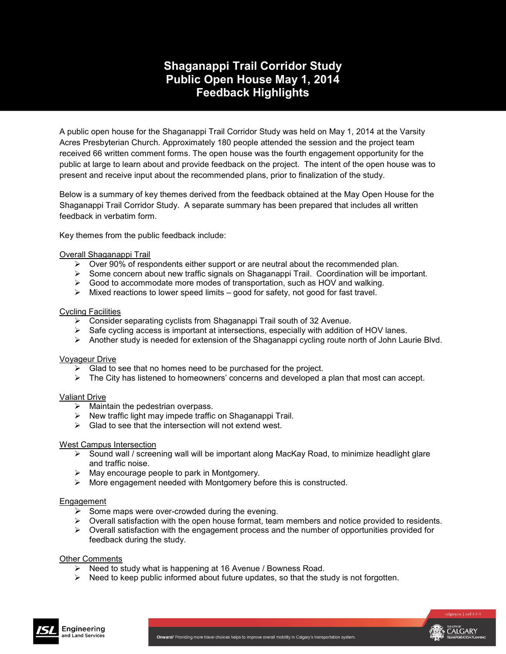## **Shaganappi Trail Corridor Study Public Open House May 1, 2014 Feedback Highlights**

A public open house for the Shaganappi Trail Corridor Study was held on May 1, 2014 at the Varsity Acres Presbyterian Church. Approximately 180 people attended the session and the project team received 66 written comment forms. The open house was the fourth engagement opportunity for the public at large to learn about and provide feedback on the project. The intent of the open house was to present and receive input about the recommended plans, prior to finalization of the study.

Below is a summary of key themes derived from the feedback obtained at the May Open House for the Shaganappi Trail Corridor Study. A separate summary has been prepared that includes all written feedback in verbatim form.

Key themes from the public feedback include:

## Overall Shaganappi Trail

- $\triangleright$  Over 90% of respondents either support or are neutral about the recommended plan.
- Some concern about new traffic signals on Shaganappi Trail. Coordination will be important.
- $\triangleright$  Good to accommodate more modes of transportation, such as HOV and walking.
- $\triangleright$  Mixed reactions to lower speed limits good for safety, not good for fast travel.

## Cycling Facilities

- $\triangleright$  Consider separating cyclists from Shaganappi Trail south of 32 Avenue.
- $\triangleright$  Safe cycling access is important at intersections, especially with addition of HOV lanes.
- $\triangleright$  Another study is needed for extension of the Shaganappi cycling route north of John Laurie Blvd.

## Voyageur Drive

- $\triangleright$  Glad to see that no homes need to be purchased for the project.
- $\triangleright$  The City has listened to homeowners' concerns and developed a plan that most can accept.

## Valiant Drive

- $\triangleright$  Maintain the pedestrian overpass.
- $\triangleright$  New traffic light may impede traffic on Shaganappi Trail.
- $\triangleright$  Glad to see that the intersection will not extend west.

## West Campus Intersection

- $\triangleright$  Sound wall / screening wall will be important along MacKay Road, to minimize headlight glare and traffic noise.
- $\triangleright$  May encourage people to park in Montgomery.
- More engagement needed with Montgomery before this is constructed.

## **Engagement**

- $\triangleright$  Some maps were over-crowded during the evening.
- $\triangleright$  Overall satisfaction with the open house format, team members and notice provided to residents.
- $\triangleright$  Overall satisfaction with the engagement process and the number of opportunities provided for feedback during the study.

## Other Comments

- $\triangleright$  Need to study what is happening at 16 Avenue / Bowness Road.
- $\triangleright$  Need to keep public informed about future updates, so that the study is not forgotten.



CALGARY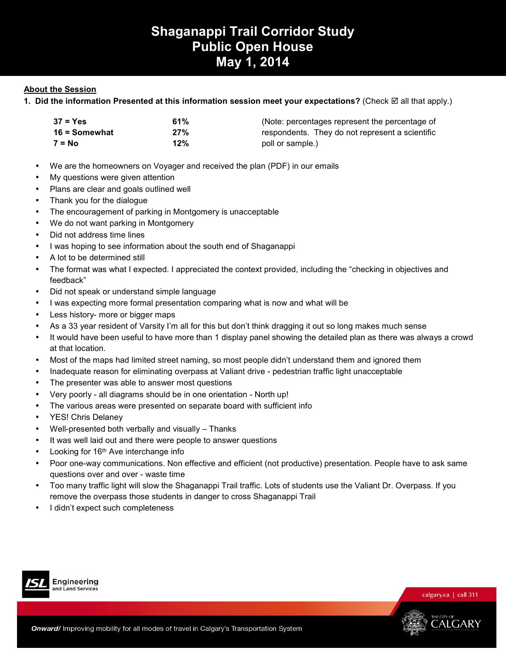# **Shaganappi Trail Corridor Study Public Open House May 1, 2014**

## **About the Session**

**1. Did the information Presented at this information session meet your expectations?** (Check ⊠ all that apply.)

| $37 = Yes$      | 61% | (Note: percentages represent the percentage of  |
|-----------------|-----|-------------------------------------------------|
| $16 =$ Somewhat | 27% | respondents. They do not represent a scientific |
| $7 = No$        | 12% | poll or sample.)                                |

- We are the homeowners on Voyager and received the plan (PDF) in our emails
- My questions were given attention
- Plans are clear and goals outlined well
- Thank you for the dialogue
- The encouragement of parking in Montgomery is unacceptable
- We do not want parking in Montgomery
- Did not address time lines
- I was hoping to see information about the south end of Shaganappi
- A lot to be determined still
- The format was what I expected. I appreciated the context provided, including the "checking in objectives and feedback"
- Did not speak or understand simple language
- I was expecting more formal presentation comparing what is now and what will be
- Less history- more or bigger maps
- As a 33 year resident of Varsity I'm all for this but don't think dragging it out so long makes much sense
- It would have been useful to have more than 1 display panel showing the detailed plan as there was always a crowd at that location.
- Most of the maps had limited street naming, so most people didn't understand them and ignored them
- Inadequate reason for eliminating overpass at Valiant drive pedestrian traffic light unacceptable
- The presenter was able to answer most questions
- Very poorly all diagrams should be in one orientation North up!
- The various areas were presented on separate board with sufficient info
- YES! Chris Delaney
- Well-presented both verbally and visually Thanks
- It was well laid out and there were people to answer questions
- Looking for 16<sup>th</sup> Ave interchange info
- Poor one-way communications. Non effective and efficient (not productive) presentation. People have to ask same questions over and over - waste time
- Too many traffic light will slow the Shaganappi Trail traffic. Lots of students use the Valiant Dr. Overpass. If you remove the overpass those students in danger to cross Shaganappi Trail
- I didn't expect such completeness





THE CITY OF<br>CALGARY

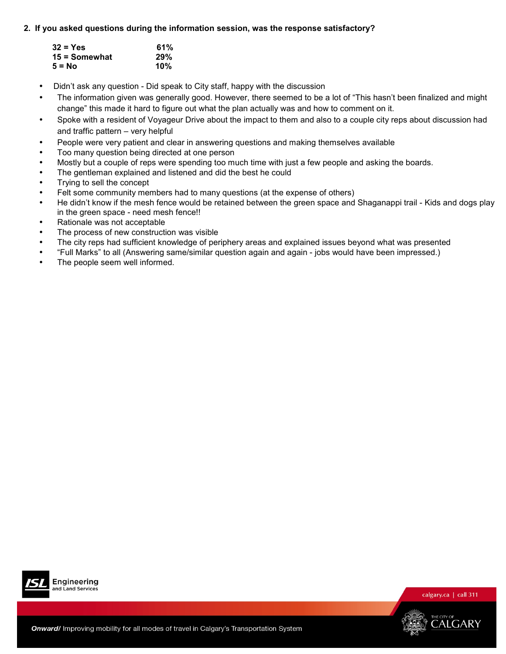## **2. If you asked questions during the information session, was the response satisfactory?**

| $32 = Yes$    | 61% |
|---------------|-----|
| 15 = Somewhat | 29% |
| $5 = No$      | 10% |

- Didn't ask any question Did speak to City staff, happy with the discussion
- The information given was generally good. However, there seemed to be a lot of "This hasn't been finalized and might change" this made it hard to figure out what the plan actually was and how to comment on it.
- Spoke with a resident of Voyageur Drive about the impact to them and also to a couple city reps about discussion had and traffic pattern – very helpful
- People were very patient and clear in answering questions and making themselves available
- Too many question being directed at one person
- Mostly but a couple of reps were spending too much time with just a few people and asking the boards.
- The gentleman explained and listened and did the best he could
- Trying to sell the concept
- Felt some community members had to many questions (at the expense of others)
- He didn't know if the mesh fence would be retained between the green space and Shaganappi trail Kids and dogs play in the green space - need mesh fence!!
- Rationale was not acceptable
- The process of new construction was visible
- The city reps had sufficient knowledge of periphery areas and explained issues beyond what was presented
- "Full Marks" to all (Answering same/similar question again and again jobs would have been impressed.)
- The people seem well informed.



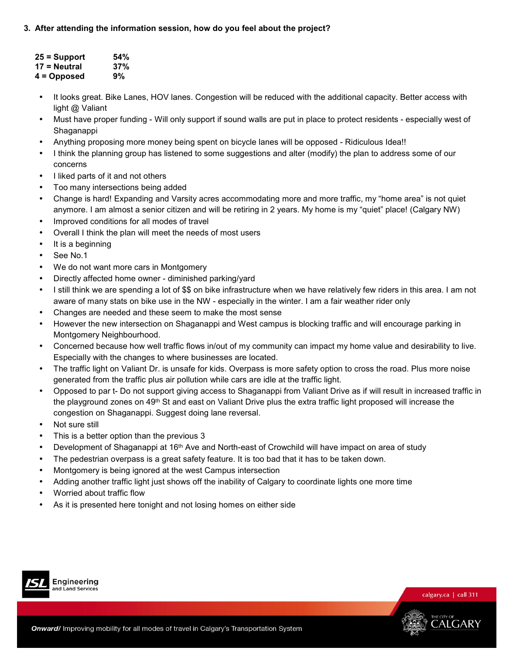## **3. After attending the information session, how do you feel about the project?**

| 25 = Support | 54% |
|--------------|-----|
| 17 = Neutral | 37% |
| 4 = Opposed  | 9%  |

- It looks great. Bike Lanes, HOV lanes. Congestion will be reduced with the additional capacity. Better access with light @ Valiant
- Must have proper funding Will only support if sound walls are put in place to protect residents especially west of Shaganappi
- Anything proposing more money being spent on bicycle lanes will be opposed Ridiculous Idea!!
- I think the planning group has listened to some suggestions and alter (modify) the plan to address some of our concerns
- I liked parts of it and not others
- Too many intersections being added
- Change is hard! Expanding and Varsity acres accommodating more and more traffic, my "home area" is not quiet anymore. I am almost a senior citizen and will be retiring in 2 years. My home is my "quiet" place! (Calgary NW)
- Improved conditions for all modes of travel
- Overall I think the plan will meet the needs of most users
- It is a beginning
- See No.1
- We do not want more cars in Montgomery
- Directly affected home owner diminished parking/yard
- I still think we are spending a lot of \$\$ on bike infrastructure when we have relatively few riders in this area. I am not aware of many stats on bike use in the NW - especially in the winter. I am a fair weather rider only
- Changes are needed and these seem to make the most sense
- However the new intersection on Shaganappi and West campus is blocking traffic and will encourage parking in Montgomery Neighbourhood.
- Concerned because how well traffic flows in/out of my community can impact my home value and desirability to live. Especially with the changes to where businesses are located.
- The traffic light on Valiant Dr. is unsafe for kids. Overpass is more safety option to cross the road. Plus more noise generated from the traffic plus air pollution while cars are idle at the traffic light.
- Opposed to par t- Do not support giving access to Shaganappi from Valiant Drive as if will result in increased traffic in the playground zones on 49<sup>th</sup> St and east on Valiant Drive plus the extra traffic light proposed will increase the congestion on Shaganappi. Suggest doing lane reversal.
- Not sure still
- This is a better option than the previous 3
- Development of Shaganappi at 16th Ave and North-east of Crowchild will have impact on area of study
- The pedestrian overpass is a great safety feature. It is too bad that it has to be taken down.
- Montgomery is being ignored at the west Campus intersection
- Adding another traffic light just shows off the inability of Calgary to coordinate lights one more time
- Worried about traffic flow
- As it is presented here tonight and not losing homes on either side



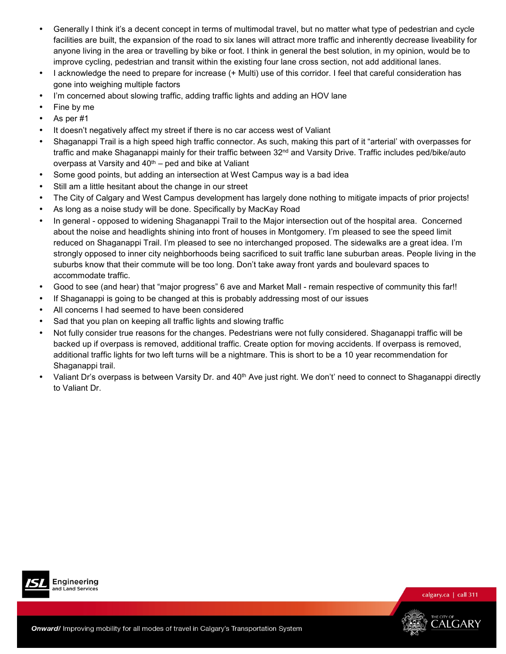- Generally I think it's a decent concept in terms of multimodal travel, but no matter what type of pedestrian and cycle facilities are built, the expansion of the road to six lanes will attract more traffic and inherently decrease liveability for anyone living in the area or travelling by bike or foot. I think in general the best solution, in my opinion, would be to improve cycling, pedestrian and transit within the existing four lane cross section, not add additional lanes.
- I acknowledge the need to prepare for increase (+ Multi) use of this corridor. I feel that careful consideration has gone into weighing multiple factors
- I'm concerned about slowing traffic, adding traffic lights and adding an HOV lane
- Fine by me
- As per #1
- It doesn't negatively affect my street if there is no car access west of Valiant
- Shaganappi Trail is a high speed high traffic connector. As such, making this part of it "arterial' with overpasses for traffic and make Shaganappi mainly for their traffic between 32<sup>nd</sup> and Varsity Drive. Traffic includes ped/bike/auto overpass at Varsity and  $40<sup>th</sup>$  – ped and bike at Valiant
- Some good points, but adding an intersection at West Campus way is a bad idea
- Still am a little hesitant about the change in our street
- The City of Calgary and West Campus development has largely done nothing to mitigate impacts of prior projects!
- As long as a noise study will be done. Specifically by MacKay Road
- In general opposed to widening Shaganappi Trail to the Major intersection out of the hospital area. Concerned about the noise and headlights shining into front of houses in Montgomery. I'm pleased to see the speed limit reduced on Shaganappi Trail. I'm pleased to see no interchanged proposed. The sidewalks are a great idea. I'm strongly opposed to inner city neighborhoods being sacrificed to suit traffic lane suburban areas. People living in the suburbs know that their commute will be too long. Don't take away front yards and boulevard spaces to accommodate traffic.
- Good to see (and hear) that "major progress" 6 ave and Market Mall remain respective of community this far!!
- If Shaganappi is going to be changed at this is probably addressing most of our issues
- All concerns I had seemed to have been considered
- Sad that you plan on keeping all traffic lights and slowing traffic
- Not fully consider true reasons for the changes. Pedestrians were not fully considered. Shaganappi traffic will be backed up if overpass is removed, additional traffic. Create option for moving accidents. If overpass is removed, additional traffic lights for two left turns will be a nightmare. This is short to be a 10 year recommendation for Shaganappi trail.
- Valiant Dr's overpass is between Varsity Dr. and 40<sup>th</sup> Ave just right. We don't' need to connect to Shaganappi directly to Valiant Dr.





calgary.ca | call 311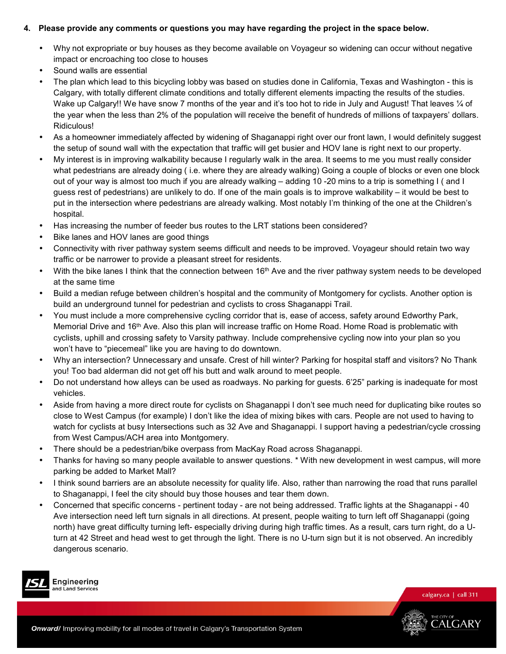## **4. Please provide any comments or questions you may have regarding the project in the space below.**

- Why not expropriate or buy houses as they become available on Voyageur so widening can occur without negative impact or encroaching too close to houses
- Sound walls are essential
- The plan which lead to this bicycling lobby was based on studies done in California, Texas and Washington this is Calgary, with totally different climate conditions and totally different elements impacting the results of the studies. Wake up Calgary!! We have snow 7 months of the year and it's too hot to ride in July and August! That leaves 1/4 of the year when the less than 2% of the population will receive the benefit of hundreds of millions of taxpayers' dollars. Ridiculous!
- As a homeowner immediately affected by widening of Shaganappi right over our front lawn, I would definitely suggest the setup of sound wall with the expectation that traffic will get busier and HOV lane is right next to our property.
- My interest is in improving walkability because I regularly walk in the area. It seems to me you must really consider what pedestrians are already doing ( i.e. where they are already walking) Going a couple of blocks or even one block out of your way is almost too much if you are already walking – adding 10 -20 mins to a trip is something I ( and I guess rest of pedestrians) are unlikely to do. If one of the main goals is to improve walkability – it would be best to put in the intersection where pedestrians are already walking. Most notably I'm thinking of the one at the Children's hospital.
- Has increasing the number of feeder bus routes to the LRT stations been considered?
- Bike lanes and HOV lanes are good things
- Connectivity with river pathway system seems difficult and needs to be improved. Voyageur should retain two way traffic or be narrower to provide a pleasant street for residents.
- With the bike lanes I think that the connection between 16<sup>th</sup> Ave and the river pathway system needs to be developed at the same time
- Build a median refuge between children's hospital and the community of Montgomery for cyclists. Another option is build an underground tunnel for pedestrian and cyclists to cross Shaganappi Trail.
- You must include a more comprehensive cycling corridor that is, ease of access, safety around Edworthy Park, Memorial Drive and 16<sup>th</sup> Ave. Also this plan will increase traffic on Home Road. Home Road is problematic with cyclists, uphill and crossing safety to Varsity pathway. Include comprehensive cycling now into your plan so you won't have to "piecemeal" like you are having to do downtown.
- Why an intersection? Unnecessary and unsafe. Crest of hill winter? Parking for hospital staff and visitors? No Thank you! Too bad alderman did not get off his butt and walk around to meet people.
- Do not understand how alleys can be used as roadways. No parking for guests. 6'25" parking is inadequate for most vehicles.
- Aside from having a more direct route for cyclists on Shaganappi I don't see much need for duplicating bike routes so close to West Campus (for example) I don't like the idea of mixing bikes with cars. People are not used to having to watch for cyclists at busy Intersections such as 32 Ave and Shaganappi. I support having a pedestrian/cycle crossing from West Campus/ACH area into Montgomery.
- There should be a pedestrian/bike overpass from MacKay Road across Shaganappi.
- Thanks for having so many people available to answer questions. \* With new development in west campus, will more parking be added to Market Mall?
- I think sound barriers are an absolute necessity for quality life. Also, rather than narrowing the road that runs parallel to Shaganappi, I feel the city should buy those houses and tear them down.
- Concerned that specific concerns pertinent today are not being addressed. Traffic lights at the Shaganappi 40 Ave intersection need left turn signals in all directions. At present, people waiting to turn left off Shaganappi (going north) have great difficulty turning left- especially driving during high traffic times. As a result, cars turn right, do a Uturn at 42 Street and head west to get through the light. There is no U-turn sign but it is not observed. An incredibly dangerous scenario.



Engineering and Land Services

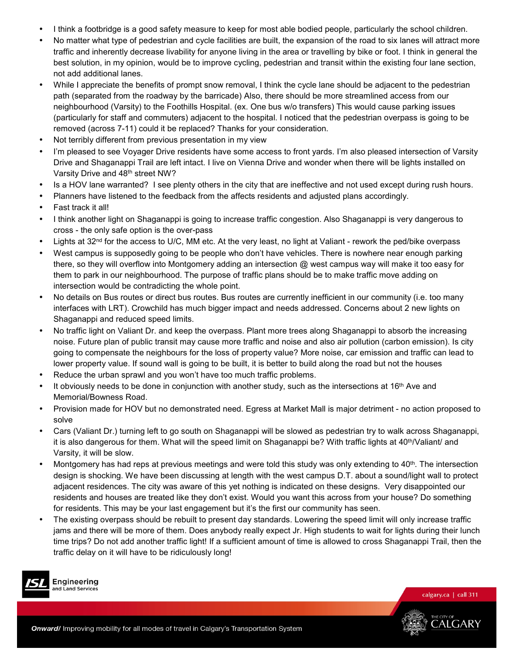- I think a footbridge is a good safety measure to keep for most able bodied people, particularly the school children.
- No matter what type of pedestrian and cycle facilities are built, the expansion of the road to six lanes will attract more traffic and inherently decrease livability for anyone living in the area or travelling by bike or foot. I think in general the best solution, in my opinion, would be to improve cycling, pedestrian and transit within the existing four lane section, not add additional lanes.
- While I appreciate the benefits of prompt snow removal, I think the cycle lane should be adjacent to the pedestrian path (separated from the roadway by the barricade) Also, there should be more streamlined access from our neighbourhood (Varsity) to the Foothills Hospital. (ex. One bus w/o transfers) This would cause parking issues (particularly for staff and commuters) adjacent to the hospital. I noticed that the pedestrian overpass is going to be removed (across 7-11) could it be replaced? Thanks for your consideration.
- Not terribly different from previous presentation in my view
- I'm pleased to see Voyager Drive residents have some access to front yards. I'm also pleased intersection of Varsity Drive and Shaganappi Trail are left intact. I live on Vienna Drive and wonder when there will be lights installed on Varsity Drive and 48th street NW?
- Is a HOV lane warranted? I see plenty others in the city that are ineffective and not used except during rush hours.
- Planners have listened to the feedback from the affects residents and adjusted plans accordingly.
- Fast track it all!
- I think another light on Shaganappi is going to increase traffic congestion. Also Shaganappi is very dangerous to cross - the only safe option is the over-pass
- Lights at 32<sup>nd</sup> for the access to U/C, MM etc. At the very least, no light at Valiant rework the ped/bike overpass
- West campus is supposedly going to be people who don't have vehicles. There is nowhere near enough parking there, so they will overflow into Montgomery adding an intersection @ west campus way will make it too easy for them to park in our neighbourhood. The purpose of traffic plans should be to make traffic move adding on intersection would be contradicting the whole point.
- No details on Bus routes or direct bus routes. Bus routes are currently inefficient in our community (i.e. too many interfaces with LRT). Crowchild has much bigger impact and needs addressed. Concerns about 2 new lights on Shaganappi and reduced speed limits.
- No traffic light on Valiant Dr. and keep the overpass. Plant more trees along Shaganappi to absorb the increasing noise. Future plan of public transit may cause more traffic and noise and also air pollution (carbon emission). Is city going to compensate the neighbours for the loss of property value? More noise, car emission and traffic can lead to lower property value. If sound wall is going to be built, it is better to build along the road but not the houses
- Reduce the urban sprawl and you won't have too much traffic problems.
- It obviously needs to be done in conjunction with another study, such as the intersections at 16<sup>th</sup> Ave and Memorial/Bowness Road.
- Provision made for HOV but no demonstrated need. Egress at Market Mall is major detriment no action proposed to solve
- Cars (Valiant Dr.) turning left to go south on Shaganappi will be slowed as pedestrian try to walk across Shaganappi, it is also dangerous for them. What will the speed limit on Shaganappi be? With traffic lights at 40<sup>th</sup>/Valiant/ and Varsity, it will be slow.
- Montgomery has had reps at previous meetings and were told this study was only extending to  $40^{\text{th}}$ . The intersection design is shocking. We have been discussing at length with the west campus D.T. about a sound/light wall to protect adjacent residences. The city was aware of this yet nothing is indicated on these designs. Very disappointed our residents and houses are treated like they don't exist. Would you want this across from your house? Do something for residents. This may be your last engagement but it's the first our community has seen.
- The existing overpass should be rebuilt to present day standards. Lowering the speed limit will only increase traffic jams and there will be more of them. Does anybody really expect Jr. High students to wait for lights during their lunch time trips? Do not add another traffic light! If a sufficient amount of time is allowed to cross Shaganappi Trail, then the traffic delay on it will have to be ridiculously long!



Engineering and Land Services

calgary.ca | call 311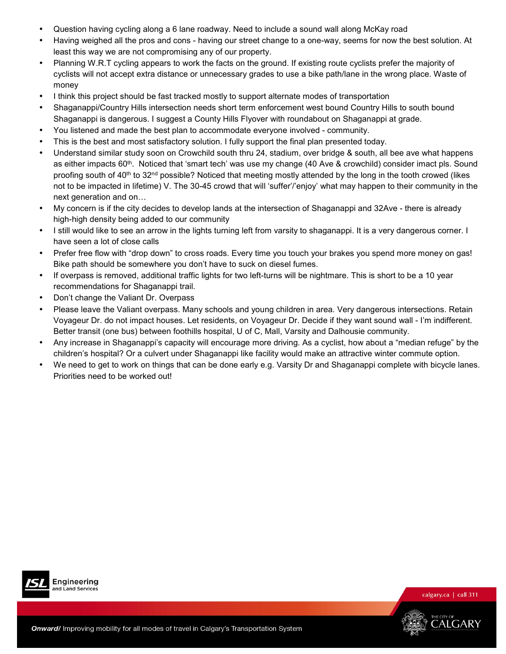- Question having cycling along a 6 lane roadway. Need to include a sound wall along McKay road
- Having weighed all the pros and cons having our street change to a one-way, seems for now the best solution. At least this way we are not compromising any of our property.
- Planning W.R.T cycling appears to work the facts on the ground. If existing route cyclists prefer the majority of cyclists will not accept extra distance or unnecessary grades to use a bike path/lane in the wrong place. Waste of money
- I think this project should be fast tracked mostly to support alternate modes of transportation
- Shaganappi/Country Hills intersection needs short term enforcement west bound Country Hills to south bound Shaganappi is dangerous. I suggest a County Hills Flyover with roundabout on Shaganappi at grade.
- You listened and made the best plan to accommodate everyone involved community.
- This is the best and most satisfactory solution. I fully support the final plan presented today.
- Understand similar study soon on Crowchild south thru 24, stadium, over bridge & south, all bee ave what happens as either impacts 60<sup>th</sup>. Noticed that 'smart tech' was use my change (40 Ave & crowchild) consider imact pls. Sound proofing south of 40<sup>th</sup> to 32<sup>nd</sup> possible? Noticed that meeting mostly attended by the long in the tooth crowed (likes not to be impacted in lifetime) V. The 30-45 crowd that will 'suffer'/'enjoy' what may happen to their community in the next generation and on...
- My concern is if the city decides to develop lands at the intersection of Shaganappi and 32Ave there is already high-high density being added to our community
- I still would like to see an arrow in the lights turning left from varsity to shaganappi. It is a very dangerous corner. I have seen a lot of close calls
- Prefer free flow with "drop down" to cross roads. Every time you touch your brakes you spend more money on gas! Bike path should be somewhere you don't have to suck on diesel fumes.
- If overpass is removed, additional traffic lights for two left-turns will be nightmare. This is short to be a 10 year recommendations for Shaganappi trail.
- Don't change the Valiant Dr. Overpass
- Please leave the Valiant overpass. Many schools and young children in area. Very dangerous intersections. Retain Voyageur Dr. do not impact houses. Let residents, on Voyageur Dr. Decide if they want sound wall - I'm indifferent. Better transit (one bus) between foothills hospital, U of C, Mall, Varsity and Dalhousie community.
- Any increase in Shaganappi's capacity will encourage more driving. As a cyclist, how about a "median refuge" by the children's hospital? Or a culvert under Shaganappi like facility would make an attractive winter commute option.
- We need to get to work on things that can be done early e.g. Varsity Dr and Shaganappi complete with bicycle lanes. Priorities need to be worked out!





calgary.ca | call 311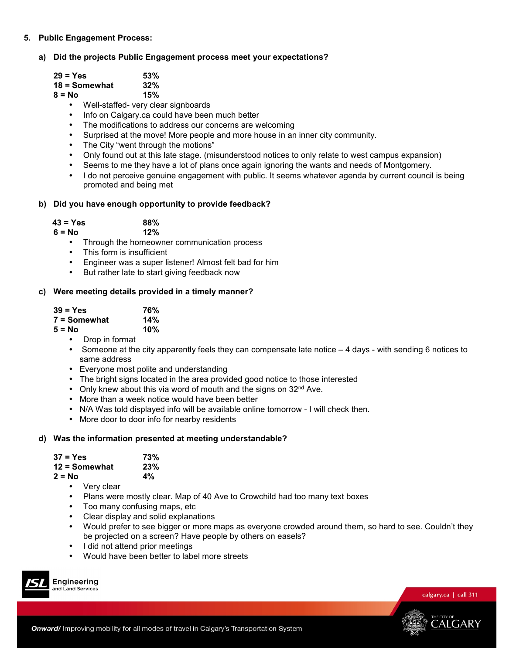**5. Public Engagement Process:** 

## **a) Did the projects Public Engagement process meet your expectations?**

| $29 = Yes$      | 53% |
|-----------------|-----|
| $18 =$ Somewhat | 32% |
| $8 = No$        | 15% |

- Well-staffed- very clear signboards
- Info on Calgary.ca could have been much better
- The modifications to address our concerns are welcoming
- Surprised at the move! More people and more house in an inner city community.
- The City "went through the motions"
- Only found out at this late stage. (misunderstood notices to only relate to west campus expansion)
- Seems to me they have a lot of plans once again ignoring the wants and needs of Montgomery.
- I do not perceive genuine engagement with public. It seems whatever agenda by current council is being promoted and being met

## **b) Did you have enough opportunity to provide feedback?**

| $43 = Yes$ | 88% |
|------------|-----|
| $6 = No$   | 12% |

- Through the homeowner communication process
- This form is insufficient
- Engineer was a super listener! Almost felt bad for him
- But rather late to start giving feedback now

## **c) Were meeting details provided in a timely manner?**

| 39 = Yes     | 76% |
|--------------|-----|
| 7 = Somewhat | 14% |
| 5 = No       | 10% |

- Drop in format
- Someone at the city apparently feels they can compensate late notice 4 days with sending 6 notices to same address
- Everyone most polite and understanding
- The bright signs located in the area provided good notice to those interested
- Only knew about this via word of mouth and the signs on  $32<sup>nd</sup>$  Ave.
- More than a week notice would have been better
- N/A Was told displayed info will be available online tomorrow I will check then.
- More door to door info for nearby residents

## **d) Was the information presented at meeting understandable?**

| $37 = Yes$      | 73% |
|-----------------|-----|
| $12 =$ Somewhat | 23% |
| $2 = No$        | 4%  |

- Very clear
- Plans were mostly clear. Map of 40 Ave to Crowchild had too many text boxes
- Too many confusing maps, etc
- Clear display and solid explanations
- Would prefer to see bigger or more maps as everyone crowded around them, so hard to see. Couldn't they be projected on a screen? Have people by others on easels?
- I did not attend prior meetings
- Would have been better to label more streets







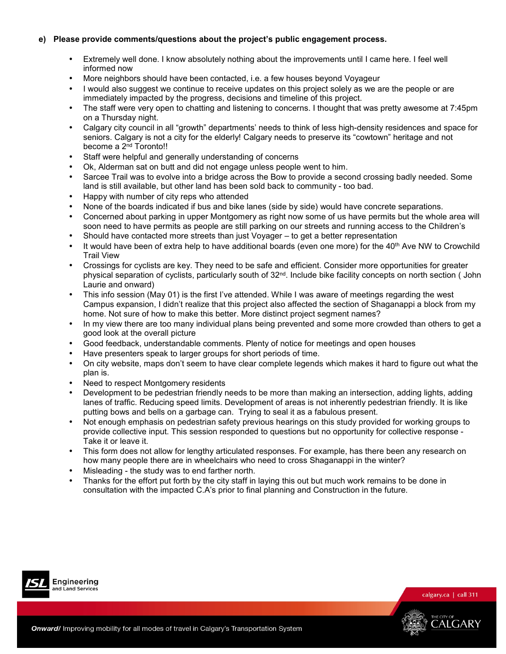## **e) Please provide comments/questions about the project's public engagement process.**

- Extremely well done. I know absolutely nothing about the improvements until I came here. I feel well informed now
- More neighbors should have been contacted, i.e. a few houses beyond Voyageur
- I would also suggest we continue to receive updates on this project solely as we are the people or are immediately impacted by the progress, decisions and timeline of this project.
- The staff were very open to chatting and listening to concerns. I thought that was pretty awesome at 7:45pm on a Thursday night.
- Calgary city council in all "growth" departments' needs to think of less high-density residences and space for seniors. Calgary is not a city for the elderly! Calgary needs to preserve its "cowtown" heritage and not become a 2<sup>nd</sup> Toronto!!
- Staff were helpful and generally understanding of concerns
- Ok, Alderman sat on butt and did not engage unless people went to him.
- Sarcee Trail was to evolve into a bridge across the Bow to provide a second crossing badly needed. Some land is still available, but other land has been sold back to community - too bad.
- Happy with number of city reps who attended
- None of the boards indicated if bus and bike lanes (side by side) would have concrete separations.
- Concerned about parking in upper Montgomery as right now some of us have permits but the whole area will soon need to have permits as people are still parking on our streets and running access to the Children's
- Should have contacted more streets than just Voyager to get a better representation
- It would have been of extra help to have additional boards (even one more) for the  $40<sup>th</sup>$  Ave NW to Crowchild Trail View
- Crossings for cyclists are key. They need to be safe and efficient. Consider more opportunities for greater physical separation of cyclists, particularly south of 32<sup>nd</sup>. Include bike facility concepts on north section ( John Laurie and onward)
- This info session (May 01) is the first I've attended. While I was aware of meetings regarding the west Campus expansion, I didn't realize that this project also affected the section of Shaganappi a block from my home. Not sure of how to make this better. More distinct project segment names?
- In my view there are too many individual plans being prevented and some more crowded than others to get a good look at the overall picture
- Good feedback, understandable comments. Plenty of notice for meetings and open houses
- Have presenters speak to larger groups for short periods of time.
- On city website, maps don't seem to have clear complete legends which makes it hard to figure out what the plan is.
- Need to respect Montgomery residents
- Development to be pedestrian friendly needs to be more than making an intersection, adding lights, adding lanes of traffic. Reducing speed limits. Development of areas is not inherently pedestrian friendly. It is like putting bows and bells on a garbage can. Trying to seal it as a fabulous present.
- Not enough emphasis on pedestrian safety previous hearings on this study provided for working groups to provide collective input. This session responded to questions but no opportunity for collective response - Take it or leave it.
- This form does not allow for lengthy articulated responses. For example, has there been any research on how many people there are in wheelchairs who need to cross Shaganappi in the winter?
- Misleading the study was to end farther north.
- Thanks for the effort put forth by the city staff in laying this out but much work remains to be done in consultation with the impacted C.A's prior to final planning and Construction in the future.